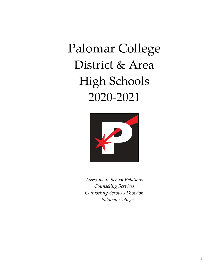# Palomar College District & Area High Schools 2020-2021



*Assessment-School Relations Counseling Services Counseling Services Division Palomar College*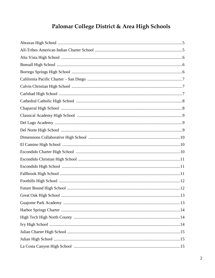# Palomar College District & Area High Schools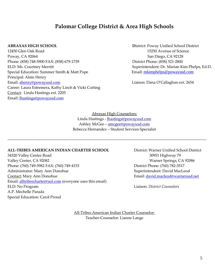# **Palomar College District & Area High Schools**

12450 Glen Oak Road 15250 Avenue of Science Poway, CA 92064 San Diego, CA 92128 Phone: (858) 748-5900 FAX: (858) 679-1739 District Phone: (858) 521-2800 ELD: Ms. Courtney Merritt **Superintendent: Dr. Marian Kim Phelps, Ed.D.** Superintendent: Dr. Marian Kim Phelps, Ed.D. Special Education: Summer Smith & Matt Pope Email: [mkimphelps@powayusd.com](mailto:mkimphelps@powayusd.com) Principal: Alain Henry Email: **ahenry@powayusd.com** Communication: Dana O'Callaghan ext. 2654 Career: Laura Estremera, Kathy Linch & Vicki Cutting Contact: Linda Hastings ext. 2205 Email: [lhastings@powayusd.com](mailto:lhastings@powayusd.com)

**ABRAXAS HIGH SCHOOL** District: Poway Unified School District

Abraxas High Counselors: Linda Hastings - **[lhastings@powayusd.com](mailto:lhastings@powayusd.com)** Ashley McGee - [amcgee@powayusd.com](mailto:amcgee@powayusd.com) Rebecca Hernandez – Student Services Specialist

~~~~~~~~~~~~~~~~~~~~~~~~~~~~~~~~~~~~~~~~~~~~~~~~~~~~~~~~~~~~~~~~~~~~~~~~~~~~~~~~~~~~~~~~~~~~~~~~~~~~~~~

# **ALL-TRIBES AMERICAN INDIAN CHARTER SCHOOL** District: Warner Unified School District

34320 Valley Center Road 30951 Highway 79 Valley Center, CA 92082 Warner Springs, CA 92086 Phone: (760) 749-5982 FAX: (760) 749-4153 District Phone: (760) 782-3517 Administrator: Mary Ann Donohue Superintendent: David MacLeod Contact: Mary Ann Donohue Email: [david.macleod@warnerusd.net](mailto:david.macleod@warnerusd.net) Email: [alltribescharter@aol.com](mailto:alltribescharter@aol.com) (everyone uses this email) ELD: No Program Liaison: *District Counselors* A.P. Mechelle Parada Special Education: Carol Proud

All-Tribes American Indian Charter Counselor: Teacher-Counselor: Lianne Lange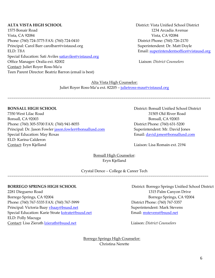1575 Bonair Road 1234 Arcadia Avenue Vista, CA 92084 Vista, CA 92084 Phone: (760) 724-3775 FAX: (760) 724-0410 District Phone: (760) 726-2170 Principal: Carol Barr carolbarr@vistausd.org Superintendent: Dr. Matt Doyle ELD: *TBA* Email: [superintendentsoffice@vistausd.org](mailto:superintendentsoffice@vistausd.org) Special Education: Sati Aviles [satiaviles@vistausd.org](mailto:satiaviles@vistausd.org) Office Manager: Oralia ext. 82002 Liaison: *District Counselors* Contact: Juliet Royer Ross-Ma'u Teen Parent Director: Beatriz Barron (email is best)

**ALTA VISTA HIGH SCHOOL** District: Vista Unified School District

Alta Vista High Counselor:

Juliet Royer Ross-Ma'u ext. 82205 - [julietross-mau@vistausd.org](mailto:julietking@vistausd.org)

~~~~~~~~~~~~~~~~~~~~~~~~~~~~~~~~~~~~~~~~~~~~~~~~~~~~~~~~~~~~~~~~~~~~~~~~~~~~~~~~~~~~~~~~~~~~~~~~~~~~~~~~~

7350 West Lilac Road 31505 Old River Road Bonsall, CA 92003 Bonsall, CA 92003 Phone: (760) 305-5700 FAX: (760) 941-8055 District Phone: (760) 631-5200 Principal: Dr. Jason Fowler [jason.fowler@bonsallusd.com](mailto:jason.fowler@bonsallusd.com) Superintendent: Mr. David Jones Special Education: May Roxas **Email:** [david.jones@bonsallusd.com](mailto:david.jones@bonsallusd.com) ELD: Karina Calderon Contact: Eryn Kjelland Liaison: Lisa Romain ext. 2194

**BONSALL HIGH SCHOOL** District: Bonsall Unified School District

Bonsall High Counselor: Eryn Kjelland

Crystal Dence – College & Career Tech

2281 Diegueno Road 1315 Palm Canyon Drive Borrego Springs, CA 92004 Borrego Springs, CA 92004 Phone: (760) 767-5335 FAX: (760) 767-5999 District Phone: (760) 767-5357 Principal: Victoria Baay *[vbaay@bsusd.net](mailto:vbaay@bsusd.net)* Superintendent: Mark Stevens Special Education: Karie Strate [kstrate@bsusd.net](mailto:kstrate@bsusd.net) Email: [mstevens@bsusd.net](mailto:mstevens@bsusd.net) ELD: Polly Macuga Contact: Lisa Zierath [lzierath@bsusd.net](mailto:lzierath@bsusd.net) Liaison: *District Counselors*

**BORREGO SPRINGS HIGH SCHOOL** District: Borrego Springs Unified School District

~~~~~~~~~~~~~~~~~~~~~~~~~~~~~~~~~~

 Borrego Springs High Counselor: Christina Nerette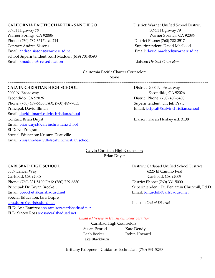# **CALIFORNIA PACIFIC CHARTER - SAN DIEGO** District: Warner Unified School District

30951 Highway 79 30951 Highway 79 Warner Springs, CA 92086 Warner Springs, CA 92086 Phone: (760) 782-3517 ext. 214 District Phone: (760) 782-3517 Contact: Andrea Sissons **Superintendent: David MacLeod** Email: <u>andrea.sissons@warnerusd.net</u> example and the email: [david.macleod@warnerusd.net](mailto:david.macleod@warnerusd.net) School Superintendent: Kurt Madden (619) 701-0590 Email: [kmadden@cccs.education](mailto:kmadden@cccs.education) Liaison: *District Counselors*

# California Pacific Charter Counselor:

None

~~~~~~~~~~~~~~~~~~~~~~~~~~~~~~~~~~~~~~~~~~~~~~~~~~~~~~~~~~~~~~~~~~~~~~~~~~~~~~~~~~~~~~~~~~~~~~~~~~~~~~~~

# **CALVIN CHRISTIAN HIGH SCHOOL** District: 2000 N. Broadway

2000 N. Broadway Escondido, CA 92026 Escondido, CA 92026 District Phone: (760) 489-6430 Phone: (760) 489-6430 FAX: (760) 489-7055 Superintendent: Dr. Jeff Pratt Principal: David Illman email: intervention and Email: interventional Email: intervention and Email: intervention and Email: intervention and Email: intervention and Email: intervention and Email: intervention and Email: i Email: [davidillman@calvinchristian.school](mailto:davidillman@calvinchristian.school) Contact: Brian Duyst Liaison: Karan Huskey ext. 3138 Email: [brianduyst@calvinchristian.school](mailto:brianduyst@calvinchristian.school) ELD: No Program Special Education: Krisann Deauville Email: [krissanndeauville@calvinchristian.school](mailto:krissanndeaville@calvinchristian.school)

# Calvin Christian High Counselor: Brian Duyst

~~~~~~~~~~~~~~~~~~~~~~~~~~~~~~~~~~~~~~~~~~~~~~~~~~~~~~~~~~~~~~~~~~~~~~~~~~~~~~~~~~~~~~~~~~~~~~~~~~~~~~~

3557 Lancer Way 6225 El Camino Real Carlsbad, CA 92008 Carlsbad, CA 92009 Phone: (760) 331-5100 FAX: (760) 729-6830 District Phone: (760) 331-5000 Principal: Dr. Bryan Brockett Superintendent: Dr. Benjamin Churchill, Ed.D. Email: [bbrockett@carlsbadusd.net](mailto:bbrockett@carlsbadusd.net) Email: [bchurchill@carlsbadusd.net](mailto:bchurchill@carlsbadusd.net) Special Education: Jara Dupre [jara.dupre@carlsbadusd.net](mailto:jara.dupre@carlsbadusd.net) Liaison: *Out of District* ELD: Ana Ramirez [ana.ramirez@carlsbadusd.net](mailto:ana.ramirez@carlsbadusd.net)  ELD: Stacey Ross [sross@carlsbadusd.net](mailto:sross@carlsbadusd.net)

**CARLSBAD HIGH SCHOOL** District: Carlsbad Unified School District

*Email addresses in transition: Some variation*

Carlsbad High Counselors: Susan Penrod Kate Dendy Leah Becker Robin Howard Jake Blackburn

Brittany Krippner – Guidance Technician: (760) 331-5230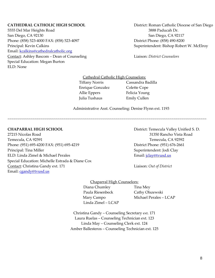5555 Del Mar Heights Road 3888 Paducah Dr. San Diego, CA 92130 San Diego, CA 92117 Phone: (858) 523-4000 FAX: (858) 523-4097 District Phone: (858) 490-8200 Principal: Kevin Calkins **Superintendent: Bishop Robert W. McElroy** Email: [kcalkins@cathedralcatholic.org](mailto:kcalkins@cathedralcatholic.org)  Contact: Ashley Bascom – Dean of Counseling Liaison: *District Counselors* Special Education: Megan Burton ELD: None

**CATHEDRAL CATHOLIC HIGH SCHOOL** District: Roman Catholic Diocese of San Diego

Cathedral Catholic High Counselors:

~~~~~~~~~~~~~~~~~~~~~~~~~~~~~~~~~~~~~~~~~~~~~~~~~~~~~~~~~~~~~~~~~~~~~~~~~~~~~~~~~~~~~~~~~~~~~~~~~~~~~~~

 Tiffany Norris Cassandra Badilla Enrique Gonzalez Colette Cope Allie Eppers Felicia Young Julia Tushaus Emily Cullen

Administrative Asst. Counseling: Denise Flynn ext. 1193

**CHAPARRAL HIGH SCHOOL** District: Temecula Valley Unified S. D.

27215 Nicolas Road 31350 Rancho Vista Road Temecula, CA 92591 Temecula, CA 92592 Phone: (951) 695-4200 FAX: (951) 695-4219 District Phone: (951) 676-2661 Principal: Tina Miller **Superintendent: Jodi Clay** ELD: Linda Zimel & Michael Perales **ELD**: Linda Zimel & Michael Perales Special Education: Michelle Estrada & Diane Cox Contact: Christina Gandy ext. 171 Liaison: *Out of District* Email: [cgandy@tvusd.us](mailto:cgandy@tvusd.k12.ca.us)

Chaparral High Counselors: Diana Chumley Tina Mey Paula Riesenbeck Cathy Olszewski Mary Campo Michael Perales – LCAP Linda Zimel – LCAP

Christina Gandy – Counseling Secretary ext. 171 Laura Ruelas – Counseling Technician ext. 123 Linda May – Counseling Clerk ext. 124 Amber Ballesteros – Counseling Technician ext. 125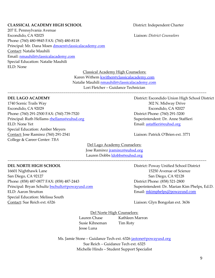# **CLASSICAL ACADEMY HIGH SCHOOL** District: Independent Charter

207 E. Pennsylvania Avenue Escondido, CA 92025 Liaison: *District Counselors* Phone: (760) 480-9845 FAX: (760) 480-8118 Principal: Mr. Dana Moen [dmoen@classicalacademy.com](mailto:dmoen@classicalacademy.com) Contact: Natalie Mauhili Email: [nmauhili@classicalacademy.com](mailto:nmauhili@classicalacademy.com) Special Education: Natalie Mauhili ELD: None

Classical Academy High Counselors:

Karen Withem [kwithen@classicalacademy.com](mailto:kwithen@classicalacademy.com) Natalie Mauhili [nmauhili@classicalacademy.com](mailto:nmauhili@classicalacademy.com) Lori Fletcher – Guidance Technician

~~~~~~~~~~~~~~~~~~~~~~~~~~~~~~~~~~~~~~~~~~~~~~~~~~~~~~~~~~~~~~~~~~~~~~~~~~~~~~~~~~~~~~~~~~~~~~~~~~~~~~~

1740 Scenic Trails Way 202 N. Midway Drive Escondido, CA 92029 Escondido, CA 92027 Phone: (760) 291-2500 FAX: (760) 739-7520 District Phone: (760) 291-3200 Principal: Ruth Hellams **[rhellams@euhsd.org](mailto:rhellams@euhsd.org)** Superintendent: Dr. Anne Staffieri ELD: None Yet Email: [astaffieri@euhsd.org](mailto:astaffieri@euhsd.org) Special Education: Amber Meyers Contact: Jose Ramirez (760) 291-2541 Liaison: Patrick O'Brien ext. 3771 College & Career Center: *TBA*

**DEL LAGO ACADEMY** District: Escondido Union High School District

Del Lago Academy Counselors: Jose Ramirez [jramirez@euhsd.org](mailto:jramirez@euhsd.org) Lauren Dobbs [ldobbs@euhsd.org](mailto:ldobbs@euhsd.org)

~~~~~~~~~~~~~~~~~~~~~~~~~~~~~~~~~~~~~~~~~~~~~~~~~~~~~~~~~~~~~~~~~~~~~~~~~~~~~~~~~~~~~~~~~~~~~~~~~~~~~~~

16601 Nighthawk Lane 15250 Avenue of Science San Diego, CA 92127 San Diego, CA 92128 Phone: (858) 487-0877 FAX: (858) 487-2443 District Phone: (858) 521-2800 Principal: Bryan Schultz [bschultz@powayusd.com](mailto:bschultz@powayusd.com) Superintendent: Dr. Marian Kim Phelps, Ed.D. ELD: Aaron Strutton Email: [mkimphelps@powayusd.com](mailto:mkimphelps@powayusd.com) Special Education: Melissa South Contact: Sue Reich ext. 6326 Liaison: Glyn Bongolan ext. 3636

**DEL NORTE HIGH SCHOOL** District: Poway Unified School District

Del Norte High Counselors: Lauren Chase Kathleen Marron Susie Kihneman Tim Roty Jesse Luna

Ms. Jamie Stone – Guidance Tech ext. 6326 [jastone@powayusd.org](mailto:jastone@powayusd.org) Sue Reich – Guidance Tech ext. 6325 Michelle Hinds – Student Support Specialist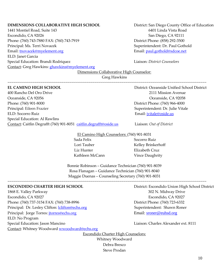# **DIMENSIONS COLLABORATIVE HIGH SCHOOL** District: San Diego County Office of Education

1441 Montiel Road, Suite 143 6401 Linda Vista Road Escondido, CA 92026 San Diego, CA 92111 Phone: (760) 743-7880 FAX: (760) 743-7919 District Phone: (858) 292-3500 Principal: Ms. Terri Novacek Superintendent: Dr. Paul Gothold Email: thovacek@myelement.org Email: [paul.gothold@sdcoe.net](mailto:paul.gothold@sdcoe.net) ELD: Janet Garcia Special Education: Brandi Rodriquez **Liaison: District Counselors** Contact: Greg Hawkins: [ghawkins@myelement.org](mailto:ghawkins@myelement.org)

Dimensions Collaborative High Counselor:

Greg Hawkins

~~~~~~~~~~~~~~~~~~~~~~~~~~~~~~~~~~~~~~~~~~~~~~~~~~~~~~~~~~~~~~~~~~~~~~~~~~~~~~~~~~~~~~~~~~~~~~~~~~~~~~~

400 Rancho Del Oro Drive 2111 Mission Avenue Oceanside, CA 92056 Oceanside, CA 92058 Phone: (760) 901-8000 District Phone: (760) 966-4000 Principal: Eileen Frazier Superintendent: Dr. Julie Vitale ELD: Socorro Ruiz Email: [jvitale@oside.us](mailto:jvitale@oside.us) Special Education: Al Rawlins Contact: Caitlin Degrafft (760) 901-8051 [caitlin.degrafft@oside.us](mailto:caitlin.degrafft@oside.us) Liaison: *Out of District*

**EL CAMINO HIGH SCHOOL** District: Oceanside Unified School District

El Camino High Counselors: (760) 901-8031

Sada Felix Socorro Ruiz Liz Hunter Elizabeth Cruz Kathleen McCann Vince Daughrity

Lori Tauber Kelley Brinkerhoff

Bonnie Robinson – Guidance Technician (760) 901-8039 Rosa Flanagan – Guidance Technician (760) 901-8040 Maggie Duenas – Counseling Secretary (760) 901-8031

~~~~~~~~~~~~~~~~~~~~~~~~~~~~~~~~~~~~~~~~~~~~~~~~~~~~~~~~~~~~~~~~~~~~~~~~~~~~~~~~~~~~~~~~~~~~~~~~~~~~~~~

1868 E. Valley Parkway 302 N. Midway Drive Escondido, CA 92027 Escondido, CA 92027 Phone: (760) 737-3154 FAX: (760) 738-8996 District Phone: (760) 723-6332 Principal: Dr. Lesley Clifton: *lclifton@echs.org* Superintendent: Shawn Roner Principal: Jorge Torres: *itorres@echs.org* Email: [sroner@euhsd.org](mailto:sroner@euhsd.org) Email: sroner@euhsd.org ELD: No Program Special Education: Jason Mancino **Limes Alexander ext. 8111** Liaison: Charles Alexander ext. 8111 Contact: Whitney Woodward [wwoodward@echs.org](mailto:edunlap@echs.org)

**ESCONDIDO CHARTER HIGH SCHOOL** District: Escondido Union High School District

Escondido Charter High Counselors:

Whitney Woodward Debra Bresco Steve Prodan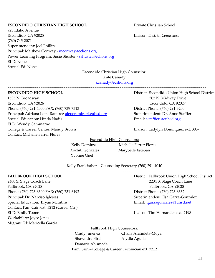# **ESCONDIDO CHRISTIAN HIGH SCHOOL** Private Christian School

923 Idaho Avenue Escondido, CA 92025 Liaison: *District Counselors* (760) 745-2071 Superintendent: Joel Phillips Principal: Matthew Conway - mconway@eclions.org Power Learning Program: Susie Shuster - sshuster@eclions.org ELD: None Special Ed: None

Escondido Christian High Counselor:

Kate Canady

~~~~~~~~~~~~~~~~~~~~~~~~~~~~~~~~~~~~~~~~~~~~~~~~~~~~~~~~~~~~~~~~~~~~~~~~~~~~~~~~~~~~~~~~~~~~~~~~~~~~~~~

[kcanady@ecslions.org](mailto:kcanady@ecslions.org)

1535 N. Broadway 302 N. Midway Drive Escondido, CA 92026 Escondido, CA 92027 Phone: (760) 291-4000 FAX: (760) 739-7313 District Phone: (760) 291-3200 Principal: Adriana Lepe-Ramirez [aleperamirez@euhsd.org](mailto:aleperamirez@euhsd.org) Superintendent: Dr. Anne Staffieri Special Education: Hinda Nadis **Email:** [astaffieri@euhsd.org](mailto:sboyle@euhsd.org) ELD: Wendy Gammarno College & Career Center: Mandy Brown Liaison: Ladylyn Dominguez ext. 3037 Contact: Michelle Ferrer Flores

**ESCONDIDO HIGH SCHOOL** District: Escondido Union High School District

Escondido High Counselors:

Yvonne Guel

Kelly Domitrz Michelle Ferrer Flores Xochitl Gonzalez Marybelle Esteban

Kelly Frankfather – Counseling Secretary (760) 291-4040

~~~~~~~~~~~~~~~~~~~~~~~~~~~~~~~~~~~~~~~~~~~~~~~~~~~~~~~~~~~~~~~~~~~~~~~~~~~~~~~~~~~~~~~~~~~~~~~~~~~~~~~~

2400 S. Stage Coach Lane 2234 S. Stage Coach Lane Fallbrook, CA 92028 Fallbrook, CA 92028 Phone: (760) 723-6300 FAX: (760) 731-6192 District Phone: (760) 723-6332 Principal: Dr. Narciso Iglesias Superintendent: Ilsa Garza-Gonzalez Special Education: Bryan McIntire **Email:** [igarzagonzalez@fuhsd.net](mailto:igarzagonzalez@fuhsd.net) Contact: Pam Cain ext. 3212 (Career Ctr.) ELD: Emily Toone Liaison: Tim Hernandez ext. 2198 Workability: Joyce Jones Migrant Ed: Maricella Garcia

**FALLBROOK HIGH SCHOOL** District: Fallbrook Union High School District

Fallbrook High Counselors:

 Cindy Jimenez Chaila Archuleta-Moya Shawndra Bird Alydia Aguila Damaris Ahumada Pam Cain – College & Career Technician ext. 3212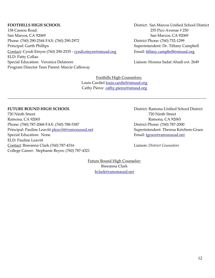158 Cassou Road. 255 Pico Avenue # 250 San Marcos, CA 92069 San Marcos, CA 92069 Phone: (760) 290-2544 FAX: (760) 290-2972 District Phone: (760) 752-1299 Principal: Garth Phillips **Superintendent: Dr. Tiffany Campbell** Contact: Cyndi Etnyre (760) 290-2535 - [cyndi.etnyre@smusd.org](mailto:january.arena@smusd.org) Email: [tiffany.campbell@smusd.org](mailto:carmen.garcia@smusd.org) ELD: Patty Collao Special Education: Veronica Delatorre Liaison: Hossna Sadat Ahadi ext. 2649 Program Director Teen Parent: Marcie Calloway

**FOOTHILLS HIGH SCHOOL** District: San Marcos Unified School District

Foothills High Counselors: Louis Cardiel [louis.cardiel@smusd.org](mailto:louis.cardiel@smusd.org) Cathy Pierce [cathy.pierce@smusd.org](mailto:ashley.curtis@smusd.org)

~~~~~~~~~~~~~~~~~~~~~~~~~~~~~~~~~~~~~~~~~~~~~~~~~~~~~~~~~~~~~~~~~~~~~~~~~~~~~~~~~~~~~~~~~~~~~~~~~~~~~~~

# **FUTURE BOUND HIGH SCHOOL District: Ramona Unified School District**

720 Ninth Street 720 Ninth Street Ramona, CA 92065 Ramona, CA 92065 Phone: (760) 787-2068 FAX: (760) 788-5387 District Phone: (760) 787-2000 Principal: Pauline Leavitt [pleavitt@ramonausd.net](mailto:msternet@ramonausd.net) Superintendent: Theresa Ketchem-Grace Special Education: None Email: [tgrace@ramonausd.net](mailto:tgrace@ramonausd.net) ELD: Pauline Leavitt Contact: Breeanna Clark (760) 787-4316 Liaison: *District Counselors* College Career: Stephanie Reyes: (760) 787-4321

Future Bound High Counselor:

Breeanna Clark [bclark@ramonausd.net](mailto:jmurray@ramonausd.net)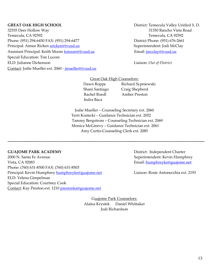32555 Deer Hollow Way 31350 Rancho Vista Road Temecula, CA 92592 Temecula, CA 92592 Phone: (951) 294-6450 FAX: (951) 294-6477 District Phone: (951) 676-2661 Principal: Aimee Ricken [aricken@tvusd.us](mailto:aricken@tvusd.k12.ca.us) **Superintendent: Superintendent: Jodi McClay** Assistant Principal: Keith Moore [kmoore@tvusd.us](mailto:kmoore@tvusd.us) Email: imclay@tvusd.us Special Education: Tim Lucore ELD: Julianne Dickenson Liaison: *Out of District* Contact: Jodie Mueller ext. 2060 - [jmueller@tvusd.us](mailto:jmueller@tvusd.k12.ca.us) 

**GREAT OAK HIGH SCHOOL** District: Temecula Valley Unified S. D.

Great Oak High Counselors:

Dawn Roppe Richard Sypniewski Shani Santiago Craig Shepherd Rachel Roedl Amber Preston Indra Baca

Jodie Mueller – Counseling Secretary ext. 2060 Terri Kostecki – Guidance Technician ext. 2052 Tammy Bergstrom – Counseling Technician ext. 2069 Monica McGreevy – Guidance Technician ext. 2061 Amy Curtis-Counseling Clerk ext. 2085

**~~~~~~~~~~~~~~~~~~~~~~~~~~~~~~~~~~~~~~~~~~~~~~~~~~~~~~~~~~~~~~~~~~~~~~~~~~~~~~~~~~~~~~~~~~~~~~~~~~~~~~**

# **GUAJOME PARK ACADEMY District:** Independent Charter

2000 N. Santa Fe Avenue Superintendent: Kevin Humphrey Vista, CA 92083 Email: [humphreyke@guajome.net](mailto:humphreyke@guajome.net)  Phone: (760) 631-8500 FAX: (760) 631-8503 Principal: Kevin Humphrey [humphreyke@guajome.net](mailto:humphreyke@guajome.net) Liaison: Rosie Antonecchia ext. 2193 ELD: Yelena Gimpelman Special Education: Courtney Cook Contact: Kay Preston ext. 1210 [prestonka@guajome.net](mailto:prestonka@guajome.net)

Guajome Park Counselors: Alaina Krystek Daniel Whittaker Jodi Richardson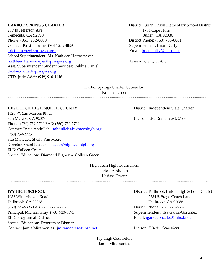27740 Jefferson Ave. 1704 Cape Horn Temecula, CA 92590 Phone: (951) 252-8800 District Phone: (760) 765-0661 Contact: [Kristin Turner](http://springscharterschools.org/bios/kristin-berry/) (951) 252-8830 Superintendent: Brian Duffy [kristin.turner@springscs.org](mailto:kristin.turner@springscs.org) Email: [brian.duffy@juesd.net](mailto:brian.duffy@juesd.net) School Superintendent: Ms. Kathleen Hermsmeyer [kathleen.hermsmeyer@springscs.org](mailto:kathleen.hermsmeyer@springscs.org) Liaison: *Out of District* Asst. Superintendent Student Services: Debbie Daniel debbie.danie[l@springscs.org](mailto:kathleen.hermsmeyer@springscs.org) CTE: Judy Adair (949) 910-4146

**HARBOR SPRINGS CHARTER** District: Julian Union Elementary School District

Harbor Springs Charter Counselor: [Kristin Turner](http://springscharterschools.org/bios/kristin-berry/)

~~~~~~~~~~~~~~~~~~~~~~~~~~~~~~~~~~~~~~~~~~~~~~~~~~~~~~~~~~~~~~~~~~~~~~~~~~~~~~~~~~~~~~~~~~~~~~~~~~~~~~~

# **HIGH TECH HIGH NORTH COUNTY** District: Independent State Charter

1420 W. San Marcos Blvd. San Marcos, CA 92078 Liaison: Lisa Romain ext. 2198 Phone: (760) 759-2700 FAX: (760)-759-2799 Contact: Tricia Abdullah - [tabdullah@hightechhigh.org](mailto:tabdullah@hightechhigh.org) (760) 759-2725 Site Manager: Sheila Van Metre Director: Shani Leader - [sleader@hightechhigh.org](mailto:sleader@hightechhigh.org) ELD: Colleen Green Special Education: Diamond Bigney & Colleen Green

High Tech High Counselors: Tricia Abdullah Karissa Fryant

**~~~~~~~~~~~~~~~~~~~~~~~~~~~~~~~~~~~~~~~~~~~~~~~~~~~~~~~~~~~~~~~~~~~~~~~~~~~~~~~~~~~~~~~~~~~~~~~~~~~~~~~~**

1056 Winterhaven Road 2234 S. Stage Coach Lane Fallbrook, CA 92028 Fallbrook, CA 92088 (760) 723-6395 FAX: (760) 723-6392 District Phone: (760) 723-6332 Principal: Michael Gray (760) 723-6395 Superintendent: Ilsa Garza-Gonzalez ELD: Program at District ELD: Program at District Email: igarzagonzalez@fuhsd.net Special Education: Program at District Contact: Jamie Miramontes jmiramontes@fuhsd.net Liaison: *District Counselors*

**IVY HIGH SCHOOL** District: Fallbrook Union High School District

Ivy High Counselor: Jamie Miramontes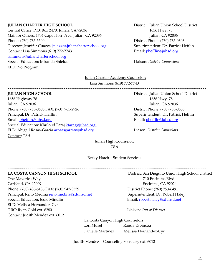# **JULIAN CHARTER HIGH SCHOOL** District: Julian Union School District

Central Office: P.O. Box 2470, Julian, CA 92036 1656 Hwy. 78 Mail for Others: 1704 Cape Horn Ave. Julian, CA 92036 Julian, CA 92036 Phone: (760) 765-5500 District Phone: (760) 765-0606 Director: Jennifer Cuazza *[jcuazza@juliancharterschool.org](mailto:jcuazza@juliancharterschool.org)* Superintendent: Dr. Patrick Hefflin Contact: Lisa Simmons (619) 772-7743 Email: [phefflin@juhsd.org](mailto:phefflin@juhsd.org) [lsimmons@juliancharterschool.org](mailto:lsimmons@juliancharterschool.org)  Special Education: Miranda Shields **Liaison: District Counselors** ELD: No Program

# Julian Charter Academy Counselor:

Lisa Simmons (619) 772-7743

~~~~~~~~~~~~~~~~~~~~~~~~~~~~~~~~~~~~~~~~~~~~~~~~~~~~~~~~~~~~~~~~~~~~~~~~~~~~~~~~~~~~~~~~~~~~~~~~~~~~~~~

1656 Highway 78 1656 Hwy. 78 Julian, CA 92036 Julian, CA 92036 Phone: (760) 765-0606 FAX: (760) 765-2926 District Phone: (760) 765-0606 Principal: Dr. Patrick Hefflin Superintendent: Dr. Patrick Hefflin Email: [phefflin@juhsd.org](mailto:phefflin@juhsd.org) Email: [phefflin@juhsd.org](mailto:phefflin@juhsd.org) Special Education: Khuloud Faraj kfarag@juhsd.org ELD: Abigail Rosas-Garcia arosasgarcia@juhsd.org Liason: *District Counselors* Contact: *TBA* 

**JULIAN HIGH SCHOOL** District: Julian Union School District

Julian High Counselor: *TBA*

Becky Hatch – Student Services

~~~~~~~~~~~~~~~~~~~~~~~~~~~~~~~~~~~~~~~~~~~~~~~~~~~~~~~~~~~~~~~~~~~~~~~~~~~~~~~~~~~~~~~~~~~~~~~~~~~~~~~

One Maverick Way 710 Encinitas Blvd. Carlsbad, CA 92009 Encinitas, CA 92024 Phone: (760) 436-6136 FAX: (760) 943-3539 District Phone: (760) 753-6491 Principal: Reno Medina [reno.medina@sduhsd.net](mailto:reno.medina@sduhsd.net) Superintendent: Dr. Robert Haley Special Education: Jesse Mindlin **Email:** [robert.haley@sduhsd.net](mailto:robert.haley@sduhsd.net) ELD: Melissa Hernandez-Cyr DRC: Ryan Gold ext. 6280 Liaison: *Out of District* Contact: Judith Mendez ext. 6012

**LA COSTA CANYON HIGH SCHOOL** District: San Dieguito Union High School District

La Costa Canyon High Counselors: Lori Musel Randa Espinoza Danielle Martinez Melissa Hernandez-Cyr

Judith Mendez – Counseling Secretary ext. 6012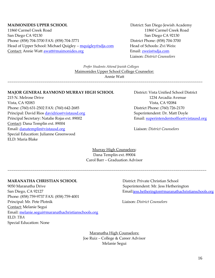# **MAIMONIDES UPPER SCHOOL** District: San Diego Jewish Academy

11860 Carmel Creek Road 11860 Carmel Creek Road San Diego CA 92130 San Diego CA 92130 Phone: (858) 704-3700 FAX: (858) 704-3771 District Phone: (858) 704-3700 Head of Upper School: Michael Quigley - [mquigley@sdja.com](mailto:mquigley@sdja.com) Head of Schools: Zvi Weis: Contact: Annie Watt **[awatt@m](mailto:tgelb@maimonides.org)aimonides.org** Email: zweis@sdja.com

Liaison: *District Counselors*

*Prefer Students Attend Jewish Colleges* Maimonides Upper School College Counselor: Annie Watt

~~~~~~~~~~~~~~~~~~~~~~~~~~~~~~~~~~~~~~~~~~~~~~~~~~~~~~~~~~~~~~~~~~~~~~~~~~~~~~~~~~~~~~~~~~~~~~~~~~~~~

# **MAJOR GENERAL RAYMOND MURRAY HIGH SCHOOL** District: Vista Unified School District

215 N. Melrose Drive 1234 Arcadia Avenue Vista, CA 92083 Vista, CA 92084 Phone: (760) 631-2502 FAX: (760) 642-2685 District Phone: (760) 726-2170 Principal: David Rios **[davidrios@vistausd.org](mailto:davidrios@vistausd.org)** Superintendent: Dr. Matt Doyle Principal Secretary: Natalie Rojas ext. 89002 Email: [superintendentsoffice@vistausd.org](mailto:superintendentsoffice@vistausd.org) Contact: Dana Templin ext. 89004 Email: [danatemplin@vistausd.org](mailto:danatemplin@vistausd.org) Liaison: *District Counselors* Special Education: Julianne Greenwood ELD: Maria Blake

Murray High Counselors: Dana Templin ext. 89004 Carol Barr – Graduation Advisor

~~~~~~~~~~~~~~~~~~~~~~~~~~~~~~~~~~~~~~~~~~~~~~~~~~~~~~~~~~~~~~~~~~~~~~~~~~~~~~~~~~~~~~~~~~~~~~~~~~~~~~~

# **MARANATHA CHRISTIAN SCHOOL** District: Private Christian School

9050 Maranatha Drive **Superintendent: Mr. Jess Hetherington** Superintendent: Mr. Jess Hetherington Phone: (858) 759-9737 FAX: (858) 759-4001 Principal: Mr. Pete Plotnik Liaison: *District Counselors* Contact: Melanie Segui Email: [melanie.segui@maranathachristianschools.org](mailto:melanie.segui@maranathachristianschools.org) ELD: *TBA* Special Education: None

San Diego, CA 92127 Email:[jess.hetherington@maranathachristianschools.org](mailto:jess.hetherington@maranathachristianschools.org)

Maranatha High Counselors: Joe Ruiz – College & Career Advisor Melanie Segui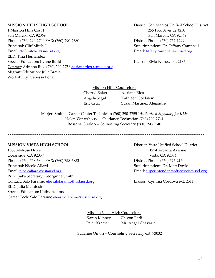1 Mission Hills Court 255 Pico Avenue #250 San Marcos, CA 92069 San Marcos, CA 92069 Phone: (760) 290-2700 FAX: (760) 290-2680 District Phone: (760) 752-1299 Principal: Cliff Mitchell Superintendent: Dr. Tiffany Campbell Email: [cliff.mitchell@smusd.org](mailto:regina.dunda@smusd.org) Email: [tiffany.campbell@smusd.org](mailto:tiffany.campbell@smusd.org) ELD: Tina Hernandez Special Education: Lynne Budd Liaison: Elvia Nunez ext. 2187 Contact: Adriana Rios (760) 290-2756 [adriana.rios@smusd.org](mailto:adriana.rios@smusd.org) Migrant Education: Julie Bravo Workability: Vanessa Lona

**MISSION HILLS HIGH SCHOOL** District: San Marcos Unified School District

Mission Hills Counselors: Cherryl Baker Adriana Rios Angela Segal Kathleen Goldstein

Eric Cruz Susan Martinez Alejandre

Marjeri Smith – Career Center Technician (760) 290-2755 \**Authorized Signatory for K12s* Helen Winterhouse – Guidance Technician (760) 290-2741 Rossana Giraldo – Counseling Secretary (760) 290-2740

~~~~~~~~~~~~~~~~~~~~~~~~~~~~~~~~~~~~~~~~~~~~~~~~~~~~~~~~~~~~~~~~~~~~~~~~~~~~~~~~~~~~~~~~~~~~~~~~~~~~~~

# **MISSION VISTA HIGH SCHOOL** District: Vista Unified School District

1306 Melrose Drive 1234 Arcadia Avenue Oceanside, CA 92057 Vista, CA 92084 Phone: (760) 758-6800 FAX: (760) 758-6832 District Phone: (760) 726-2170 Principal: Nicole Allard Superintendent: Dr. Matt Doyle Email: [nicoleallard@vistausd.org](mailto:nicoleallard@vistausd.org) Email: [superintendentsoffice@vistausd.org](mailto:superintendentsoffice@vistausd.org) Principal's Secretary: Georginne Smith Contact: Salo Faraimo eleasalofaraimo@vistausd.org Liaison: Cynthia Cordova ext. 2511 ELD: Julia McIntosh Special Education: Kathy Adams Career Tech: Salo Faraimo eleasalofaraimo@vistausd.org

Mission Vista High Counselors: Karen Kenney Chivon Parli Peter Kramer Mr. Angel Chavarin

Suzanne Omori – Counseling Secretary ext. 73032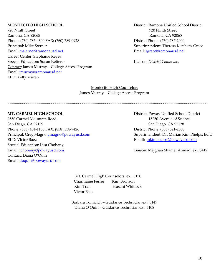720 Ninth Street 720 Ninth Street Ramona, CA 92065 Ramona, CA 92065 Phone: (760) 787-4300 FAX: (760) 789-0928 District Phone: (760) 787-2000 Principal: Mike Sterner Superintendent: Theresa Ketchem-Grace Email: [msterner@ramonausd.net](mailto:msterner@ramonausd.net) example and the example of the Email: [tgrace@ramonausd.net](mailto:tgrace@ramonausd.net) Career Center: Stephanie Reyes Special Education: Susan Ketterer **Lighter Education:** *District Counselors* Liaison: *District Counselors* Contact: James Murray – College Access Program Email: [jmurray@ramonausd.net](mailto:jmurray@ramonausd.net)  ELD: Kelly Muren

**MONTECITO HIGH SCHOOL** District: Ramona Unified School District

Montecito High Counselor: James Murray – College Access Program

~~~~~~~~~~~~~~~~~~~~~~~~~~~~~~~~~~~~~~~~~~~~~~~~~~~~~~~~~~~~~~~~~~~~~~~~~~~~~~~~~~~~~~~~~~~~~~~~~~~~~~~

9550 Carmel Mountain Road 15250 Avenue of Science San Diego, CA 92129 San Diego, CA 92128 Phone: (858) 484-1180 FAX: (858) 538-9426 District Phone: (858) 521-2800 Principal: Greg Magno **[gmagno@powayusd.com](mailto:gmagno@powayusd.com)** Superintendent: Dr. Marian Kim Phelps, Ed.D. ELD: Victor Baez Email: [mkimphelps@powayusd.com](mailto:mkimphelps@powayusd.com) Special Education: Lisa Chohany Email: <u>Ichohany@powayusd.com</u> ext. 2412 Contact: Diana O'Quin Email: [doquin@powayusd.com](mailto:doquin@powayusd.com)

**MT. CARMEL HIGH SCHOOL** District: Poway Unified School District

 Mt. Carmel High Counselors: ext. 3150 Charmaine Ferrer Kim Bronson Kim Tran **Husani Whitlock** Victor Baez

Barbara Tomicich – Guidance Technician ext. 3147 Diana O'Quin – Guidance Technician ext. 3108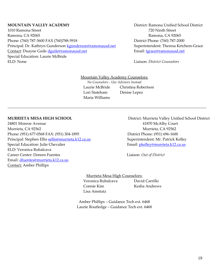1010 Ramona Street 720 Ninth Street Ramona, CA 92065 Ramona, CA 92065 Phone: (760) 787-3600 FAX (760)788-5918 District Phone: (760) 787-2000 Principal: Dr. Kathryn Gunderson [kgunderson@ramonausd.net](mailto:kgunderson@ramonausd.net) Superintendent: Theresa Ketchem-Grace Contact: Duayne Guile [dguile@ramonausd.net](mailto:dguile@ramonausd.net) Email: [tgrace@ramonausd.net](mailto:tgrace@ramonausd.net) Special Education: Laurie McBride ELD: None Liaison: *District Counselors*

**MOUNTAIN VALLEY ACADEMY** District: Ramona Unified School District

Mountain Valley Academy Counselors:

~~~~~~~~~~~~~~~~~~~~~~~~~~~~~~~~~~~~~~~~~~~~~~~~~~~~~~~~~~~~~~~~~~~~~~~~~~~~~~~~~~~~~~~~~~~~~~~~~~~~~~~

*No Counselors - Use Advisors Instead* Laurie McBride Christina Robertson Lori Stateham Denise Lepez Maria Williams

24801 Monroe Avenue 41870 McAlby Court Murrieta, CA 92562 Murrieta, CA 92562 Phone: (951) 677-0568 FAX: (951) 304-1895 District Phone: (951) 696-1600 Principal: Stephen Ellis [sellis@murrieta.k12.ca.us](mailto:sellis@murrieta.k12.ca.us) Superintendent: Mr. Patrick Kelley Special Education: Julie Chevalier **Email:** physical Email: physical Education: Julie Chevalier ELD: Veronica Rubalcava Career Center: Doreen Fuentes Liaison: *Out of District* Email: [dfuentes@murrieta.k12.ca.us](mailto:dfuentes@murrieta.k12.ca.us) Contact: Amber Phillips

**MURRIETA MESA HIGH SCHOOL** District: Murrieta Valley Unified School District

Murrieta Mesa High Counselors: Veronica Rubalcava David Carrillo Connie Kim Kesha Andrews Lisa Amstutz

Amber Phillips – Guidance Tech ext. 6468 Laurie Routledge – Guidance Tech ext. 6468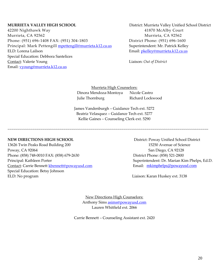42200 Nighthawk Way 41870 McAlby Court Murrieta, CA 92562 Murrieta, CA 92562 Phone: (951) 696-1408 FAX: (951) 304-1803 District Phone: (951) 696-1600 Principal: Mark Pettengill **[mpettengill@murrieta.k12.ca.us](mailto:mpettengill@murrieta.k12.ca.us)** Superintendent: Mr. Patrick Kelley ELD: Lorena Lailson **Email:** phelley@murrieta.k12.ca.us Special Education: Debbora Santelices Contact: Valerie Young Liaison: *Out of District* Email: [vyoung@murrieta.k12.ca.us](mailto:vyoung@murrieta.k12.ca.us)

**MURRIETA VALLEY HIGH SCHOOL** District: Murrieta Valley Unified School District

Murrieta High Counselors: Dinora Mendoza-Montoya Nicole Castro Julie Thornburg **Richard Lockwood** 

 James Vandenburgh – Guidance Tech ext. 5272 Beatriz Velasquez – Guidance Tech ext. 5277 Kellie Gaines – Counseling Clerk ext. 5290

~~~~~~~~~~~~~~~~~~~~~~~~~~~~~~~~~~~~~~~~~~~~~~~~~~~~~~~~~~~~~~~~~~~~~~~~~~~~~~~~~~~~~~~~~~~~~~~~~~~~~~~~

13626 Twin Peaks Road Building 200 15250 Avenue of Science Poway, CA 92064 San Diego, CA 92128 Phone: (858) 748-0010 FAX: (858) 679-2630 District Phone: (858) 521-2800 Principal: Kathleen Porter Superintendent: Dr. Marian Kim Phelps, Ed.D. Contact: Carrie Bennett [kbennett@powayusd.com](mailto:kbennett@powayusd.com) Email: [mkimphelps@powayusd.com](mailto:mkimphelps@powayusd.com) Special Education: Betsy Johnson ELD: No program Liaison: Karan Huskey ext. 3138

**NEW DIRECTIONS HIGH SCHOOL** District: Poway Unified School District

New Directions High Counselors: Anthony Sims [asims@powayusd.com](mailto:asims@powayusd.com) Lauren Whitfield ext. 2066

Carrie Bennett – Counseling Assistant ext. 2420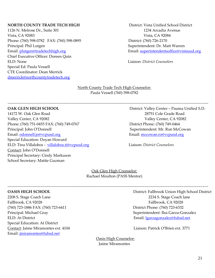# **NORTH COUNTY TRADE TECH HIGH** District: Vista Unified School District

1126 N. Melrose Dr., Suite 301 1234 Arcadia Avenue Vista, CA 92083 Vista, CA 92084 Phone: (760) 598-0782 FAX: (760) 598-0895 District: (760) 726-2170 Principal: Phil Lutgen Superintendent: Dr. Matt Warren Chief Executive Officer: Doreen Quin ELD: None Liaison: *District Counselors* Special Ed: Paula Vessell CTE Coordinator: Dean Merrick [dmerrick@northcountytradetech.org](mailto:dmerrick@northcountytradetech.org)

Email: [plutgen@tradetechhigh.org](mailto:plutgen@tradetechhigh.org) Email[: superintendentsoffice@vistausd.org](mailto:superintendentsoffice@vistausd.org)

North County Trade Tech High Counselor: Paula Vessell (760) 598-0782

~~~~~~~~~~~~~~~~~~~~~~~~~~~~~~~~~~~~~~~~~~~~~~~~~~~~~~~~~~~~~~~~~~~~~~~~~~~~~~~~~~~~~~~~~~~~~~~~~~~~~~~~

14172 W. Oak Glen Road 28751 Cole Grade Road Valley Center, CA 92082 Valley Center, CA 92082 Phone: (760) 751-0455 FAX: (760) 749-0767 District Phone: (760) 749-0464 Principal: John O'Donnell Superintendent: Mr. Ron McCowan Email: [odonnell.jo@vcpusd.org](mailto:odonnell.jo@vcpusd.org) exercise exercise exercise exercise email: [mccowan.ro@vcpusd.org](mailto:gorsuch.ma@vcpusd.org) Special Education: Doyan Howard ELD: Tina Villalobos - villalobos.ti@vcpusd.orgLiaison: *District Counselors* Contact: John O'Donnell Principal Secretary: Cindy Markuson School Secretary: Mattie Guzman

**OAK GLEN HIGH SCHOOL** District: Valley Center – Pauma Unified S.D.

Oak Glen High Counselor: Rachael Moulton (PASS Mentor)

~~~~~~~~~~~~~~~~~~~~~~~~~~~~~~~~~~~~~~~~~~~~~~~~~~~~~~~~~~~~~~~~~~~~~~~~~~~~~~~~~~~~~~~~~~~~~~~~~~~~~~~~

Fallbrook, CA 92028 Fallbrook, CA 92028 (760) 723-1886 FAX: (760) 723-6411 District Phone: (760) 723-6332 ELD: At District Email: [lgarzagonzalez@fuhsd.net](mailto:lgarzagonzalez@fuhsd.net) Special Education: At District Contact: Jaime Miramontes ext. 4104 Liaison: Patrick O'Brien ext. 3771 Email: jmiramontes@fuhsd.net

**OASIS HIGH SCHOOL** District: Fallbrook Union High School District 2208 S. Stage Coach Lane 2234 S. Stage Coach lane Principal: Michael Gray Superintendent: Ilsa Garza-Gonzalez

Oasis High Counselor: Jaime Miramontes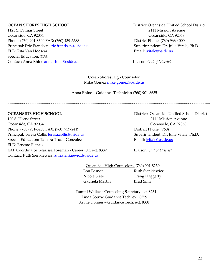1125 S. Ditmar Street 2111 Mission Avenue Oceanside, CA 92054 Oceanside, CA 92058 Phone: (760) 901-8600 FAX: (760) 439-5588 District Phone: (760) 966-4000 Principal: Eric Frandsen [eric.frandsen@oside.us](mailto:eric.frandsen@oside.us) Superintendent: Dr. Julie Vitale, Ph.D. ELD: Rita Van Hoosear **Election** Email: *jvitale@oside.us* Special Education: *TBA*  Contact: Anna Rhine [anna.rhine@oside.us](mailto:anna.rhine@oside.us) Liaison: *Out of District*

**OCEAN SHORES HIGH SCHOOL** District: Oceanside Unified School District

Ocean Shores High Counselor: Mike Gomez [mike.gomez@oside.us](mailto:mike.gomez@oside.us)

Anna Rhine – Guidance Technician (760) 901-8635

~~~~~~~~~~~~~~~~~~~~~~~~~~~~~~~~~~~~~~~~~~~~~~~~~~~~~~~~~~~~~~~~~~~~~~~~~~~~~~~~~~~~~~~~~~~~~~~~~~~~~~~~~

100 S. Horne Street 2111 Mission Avenue Oceanside, CA 92054 Oceanside, CA 92058 Phone: (760) 901-8200 FAX: (760) 757-2419 District Phone: (760) Principal: Teresa Collis **[teresa.collis@oside.us](mailto:teresa.collis@oside.us)** Superintendent: Dr. Julie Vitale, Ph.D. Special Education: Tamara Trude-Gonzalez **Email:** intervalsion Email: intervalsion Email: intervalsion entry Email: intervalsion entry entry entry entry entry entry entry entry entry entry entry entry entry entry entry ent ELD: Ernesto Planco EAP Coordinator: Marissa Foreman - Career Ctr. ext. 8389 Liaison: *Out of District* Contact: Ruth Sienkiewicz [ruth.sienkiewicz@oside.us](mailto:ruth.sienkiewicz@oside.us) 

**OCEANSIDE HIGH SCHOOL** District: Oceanside Unified School District

 Oceanside High Counselors: (760) 901-8230 Lou Fosnot **Ruth Sienkiewicz** Nicole State Trang Haggerty Gabriela Martin Brad Simi

 Tammi Wallace: Counseling Secretary ext. 8231 Linda Souza: Guidance Tech. ext. 8379 Annie Donner – Guidance Tech. ext. 8301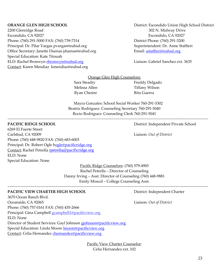2200 Glenridge Road 302 N. Midway Drive Escondido, CA 92027 Escondido, CA 92027 Phone: (760) 291-5000 FAX: (760) 739-7314 District Phone: (760) 291-3200 Principal: Dr. Pilar Vargas pvargas@euhsd.org Superintendent: Dr. Anne Staffieri Office Secretary: Janette Duenas jduenas@euhsd.org Email: [astaffieri@euhsd.org](mailto:sboyle@euhsd.org) Special Education: Kate Titouah ELD: Rachel Bronwyn **rbronwyn@euhsd.org** Liaison: Gabriel Sanchez ext. 3635 Contact: Karen Mendiaz kmendiaz@euhsd.org

**ORANGE GLEN HIGH SCHOOL** District: Escondido Union High School District

# Orange Glen High Counselors:

Melissa Allen Tiffany Wilson Ryan Chesire **Rita Guerra** 

Sara Steadry **Freddy Delgado** 

 Mayra Gonzales: School Social Worker 760-291-5302 Beatriz Rodriguez: Counseling Secretary 760-291-5040 Rocio Rodriguez: Counseling Clerk 760-291-5041

~~~~~~~~~~~~~~~~~~~~~~~~~~~~~~~~~~~~~~~~~~~~~~~~~~~~~~~~~~~~~~~~~~~~~~~~~~~~~~~~~~~~~~~~~~~~~~~~~~~~~~~~

6269 El Fuerte Street Carlsbad, CA 92009 Liaison: *Out of District* Phone: (760) 448-9820 FAX: (760) 683-6003 Principal: Dr. Robert Ogle [bogle@pacificridge.org](mailto:rogle@pacificridge.org) Contact: Rachel Petrella [rpetrella@pacificridge.org](mailto:rpetrella@pacificridge.org) ELD: None Special Education: None

> Pacific Ridge Counselors: (760) 579-4905 Rachel Petrella – Director of Counseling Danny Irving – Asst. Director of Counseling (760) 448-9881 Emily Moscol – College Counseling Asst.

~~~~~~~~~~~~~~~~~~~~~~~~~~~~~~~~~~~~~~~~~~~~~~~~~~~~~~~~~~~~~~~~~~~~~~~~~~~~~~~~~~~~~~~~~~~~~~~~~~~~~~~~

# **PACIFIC VIEW CHARTER HIGH SCHOOL** District: Independent Charter

3670 Ocean Ranch Blvd. Oceanside, CA 92065 Liaison: *Out of District* Phone: (760) 757-0161 FAX: (760) 435-2666 Principal: Gina Campbell [gcampbell1@pacificview.org](mailto:gcampbell1@pacificview.org) ELD: None Director of Student Services: Gayl Johnson [gjohnson@pacificview.org](mailto:gjohnson@pacificview.org) Special Education: Linda Moore **Imoore@pacificview.org** Contact: Celia Hernandez [chernandez@pacificview.org](mailto:chernandez@pacificview.org)

> Pacific View Charter Counselor: Celia Hernandez ext. 102

**PACIFIC RIDGE SCHOOL District:** Independent Private School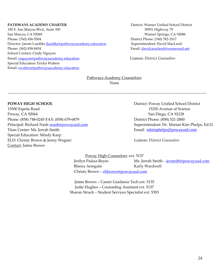# **PATHWAYS ACADEMY CHARTER District:** Warner Unified School District

100 E. San Marcos Blvd., Suite 350 30951 Highway 79 San Marcos, CA 92069 Warner Springs, CA 92086 Phone: (760) 456-5504 District Phone: (760) 782-3517 Director: Jarom Luedtke *iluedtke@pathwaysacademy.education* Superintendent: David MacLeod Phone: (562) 858-8454 Email: [david.macleod@warnerusd.net](mailto:david.macleod@warnerusd.net) School Contact: Cindy Nguyen Email: [cnguyen@pathwaysacademy.education](mailto:cnguyen@pathwaysacademy.education) Liaison: *District Counselors* Special Education: Ericka Walters Email: [ewalters@pathwaysacademy.education](mailto:ewalters@pathwaysacademy.education) 

# Pathways Academy Counselors:

None

~~~~~~~~~~~~~~~~~~~~~~~~~~~~~~~~~~~~~~~~~~~~~~~~~~~~~~~~~~~~~~~~~~~~~~~~~~~~~~~~~~~~~~~~~~~~~~~~~~~~~~~

15500 Espola Road 15250 Avenue of Science Poway, CA 92064 San Diego, CA 92128 Phone: (858) 748-0245 FAX: (858) 679-6879 District Phone: (858) 521-2800 Principal: Richard Nash **[rnash@powayusd.com](mailto:rnash@powayusd.com)** Superintendent: Dr. Marian Kim Phelps, Ed.D. Titan Center: Ms. Jerrah Smith **Email:** [mkimphelps@powayusd.com](mailto:mkimphelps@powayusd.com) Special Education: Mindy Karp ELD: Christy Brown & Jenny Wegner Liaison: *District Counselors* Contact: Jaime Brown

**POWAY HIGH SCHOOL** District: Poway Unified School District

Poway High Counselors: ext. 5137 Jerilyn Padua-Reyes Ms. Jerrah Smith – [jersmith@powayusd.com](mailto:jersmith@powayusd.com) Blanca Arreguin Karly Wardwell Christy Brown - [chbrown@powayusd.com](mailto:chbrown@powayusd.com)

Jaime Brown – Career Guidance Tech ext. 5135 Jodie Hughes – Counseling Assistant ext. 5137 Sharon Struck – Student Services Specialist ext. 5393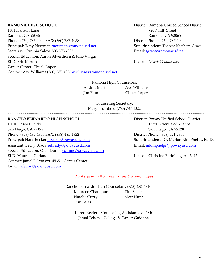1401 Hanson Lane 720 Ninth Street Ramona, CA 92065 Ramona, CA 92065 Phone: (760) 787-4000 FAX: (760) 787-4058 District Phone: (760) 787-2000 Principal: Tony Newman **[tnewman@ramonausd.net](mailto:tnewman@ramonausd.net)** Superintendent: Theresa Ketchem-Grace Secretary: Cynthia Salow 760-787-4005 Email: [tgrace@ramonausd.net](mailto:tgrace@ramonausd.net) Special Education: Aaron Silverthorn & Julie Vargas ELD: Eric Morfin Liaison: *District Counselors* Career Center: Chuck Lopez Contact: Ave Williams (760) 787-4026 [awilliams@ramonausd.net](mailto:awilliams@ramonausd.net)

**RAMONA HIGH SCHOOL** District: Ramona Unified School District

Ramona High Counselors: Andres Martin Ave Williams Jim Plum Chuck Lopez

Counseling Secretary: Mary Brumfield (760) 787-4022

~~~~~~~~~~~~~~~~~~~~~~~~~~~~~~~~~~~~~~~~~~~~~~~~~~~~~~~~~~~~~~~~~~~~~~~~~~~~~~~~~~~~~~~~~~~~~~~~~~~~~~

# **RANCHO BERNARDO HIGH SCHOOL** District: Poway Unified School District

13010 Paseo Lucido 15250 Avenue of Science San Diego, CA 92128 San Diego, CA 92128 Phone: (858) 485-4800 FAX: (858) 485-4822 District Phone: (858) 521-2800 Principal: Hans Becker [hbecker@powayusd.com](mailto:hbecker@powayusd.com) Superintendent: Dr. Marian Kim Phelps, Ed.D. Assistant: Becky Brady [rebrady@powayusd.com](mailto:rebrady@powayusd.com) Email: [mkimphelps@powayusd.com](mailto:mkimphelps@powayusd.com) Special Education: Caeli Dunne cdunne@powayusd.com ELD: Maureen Garland **Liaison: Christine Barlolong ext.** 3415 Contact: Jamal Felton ext. 4535 – Career Center Email: [jafelton@powayusd.com](mailto:jafelton@powayusd.com)

*Must sign in at office when arriving & leaving campus*

 Rancho Bernardo High Counselors: (858) 485-4810 Maureen Changnon Tim Sager Natalie Curry Matt Hunt Tish Bates

> Karen Keefer – Counseling Assistant ext. 4810 Jamal Felton – College & Career Guidance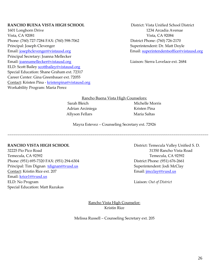# **RANCHO BUENA VISTA HIGH SCHOOL** District: Vista Unified School District

1601 Longhorn Drive 1234 Arcadia Avenue Vista, CA 92081 Vista, CA 92084 Phone: (760) 727-7284 FAX: (760) 598-7062 District Phone: (760) 726-2170 Principal: Joseph Clevenger Superintendent: Dr. Matt Doyle Email: [josephclevenger@vistausd.org](mailto:josephclevenger@vistausd.org) Email: [superintendentsoffice@vistausd.org](mailto:superintendentsoffice@vistausd.org) Principal Secretary: Joanna Mellecker Email: [joannamellecker@vistausd.org](mailto:joannamellecker@vistausd.org) Liaison: Sierra Lovelace ext. 2684 ELD: Scott Bailey [scottbailey@vistausd.org](mailto:scottbailey@vistausd.org) Special Education: Shane Graham ext. 72317 Career Center: Gina Greenbauer ext. 72055 Contact: Kristen Pina - [kristenpina@vistausd.org](mailto:kristenpina@vistausd.org) Workability Program: Maria Perez

Rancho Buena Vista High Counselors: Sarah Bleich Michelle Morris Adrian Arciniega Kristen Pina Allyson Fellars Maria Saltas

Mayra Estevez – Counseling Secretary ext. 72926

~~~~~~~~~~~~~~~~~~~~~~~~~~~~~~~~~~~~~~~~~~~~~~~~~~~~~~~~~~~~~~~~~~~~~~~~~~~~~~~~~~~~~~~~~~~~~~~~~~~~~~~~

# **RANCHO VISTA HIGH SCHOOL** District: Temecula Valley Unified S. D.

Temecula, CA 92592 Temecula, CA 92592 Phone: (951) 695-7320 FAX: (951) 294-6304 District Phone: (951) 676-2661 Principal: Tim Dignan [tdignan@tvusd.us](mailto:tdignan@tvusd.us) Superintendent: Jodi McClay Contact: Kristin Rice ext. 207 email: *imclay@tvusd.us* Email: [krice1@tvusd.us](mailto:krice1@tvusd.k12.ca.us) ELD: No Program Liaison: *Out of District* Special Education: Matt Razukas

32225 Pio Pico Road 31350 Rancho Vista Road

Rancho Vista High Counselor: Kristin Rice

Melissa Russell – Counseling Secretary ext. 205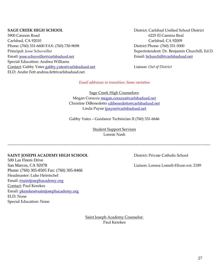3900 Cannon Road 6225 El Camino Real Carlsbad, CA 92010 Carlsbad, CA 92009 Phone: (760) 331-6600 FAX: (760) 730-9698 District Phone: (760) 331-5000 Principal: Jesse Schuveiller Superintendent: Dr. Benjamin Churchill, Ed.D. Email: [jesse.schuveiller@carlsbadusd.net](mailto:jesse.schuveiller@carlsbadusd.net) Email: [bchurchill@carlsbadusd.net](mailto:bchurchill@carlsbadusd.net) Special Education: Andrea Williams Contact: Gabby Yates [gabby.yates@carlsbadusd.net](mailto:gabby.yates@carlsbadusd.net) Liaison: *Out of District* ELD: Andre Fett andrea.fett@carlsbadusd.net

**SAGE CREEK HIGH SCHOOL** District: Carlsbad Unified School District

# *Email addresses in transition: Some variation*

Sage Creek High Counselors: Megan Corazza [megan.corazza@carlsbadusd.net](mailto:megan.corazza@carlsbadusd.net) Christine DiBenedetto [cdibenedetto@carlsbadusd.net](mailto:cdibenedetto@carlsbadusd.net) Linda Payne [lpayne@carlsbadusd.net](mailto:lpayne@carlsbadusd.net)

Gabby Yates – Guidance Technician II (760) 331-6646

Student Support Services Lonnie Nash

~~~~~~~~~~~~~~~~~~~~~~~~~~~~~~~~~~~~~~~~~~~~~~~~~~~~~~~~~~~~~~~~~~~~~~~~~~~~~~~~~~~~~~~~~~~~~~~~~~~~~~~~~

# **SAINT JOSEPH ACADEMY HIGH SCHOOL** District: Private Catholic School

500 Las Flores Drive San Marcos, CA 92078 Liaison: Lorena Lomeli-Hixon ext. 2189 Phone: (760) 305-8505 Fax: (760) 305-8466 Headmaster: Luke Heintschel Email: [@saintjosephacademy.org](mailto:abiese@saintjosephacademy.org) Contact: Paul Kerekes Email: [pkerekes@saintjosephacademy.org](mailto:pkerekes@saintjosephacademy.org) ELD: None Special Education: None

Saint Joseph Academy Counselor: Paul Kerekes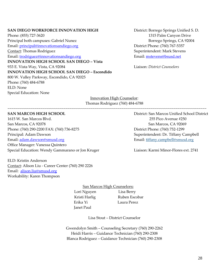# **SAN DIEGO WORKFORCE INNOVATION HIGH District: Borrego Springs Unified S. D.**

Phone: (855) 727-3620 1315 Palm Canyon Drive Principal both campuses: Gabriel Nunez Borrego Springs, CA 92004 Email: [principal@innovationsandiego.org](mailto:principal@innovationsandiego.org) District Phone: (760) 767-5357 Contact: Thomas Rodriguez **Superintendent: Mark Stevens** Superintendent: Mark Stevens Email: [trodriguez@innovationsandiego.org](mailto:trodriguez@innovationsandiego.org) Email: [mstevens@bsusd.net](mailto:mstevens@bsusd.net) **INNOVATION HIGH SCHOOL SAN DIEGO – Vista**  933 E. Vista Way, Vista, CA 92084 Liaison: *District Counselors* **INNOVATION HIGH SCHOOL SAN DIEGO – Escondido** 800 W. Valley Parkway, Escondido, CA 92025 Phone: (760) 484-6788 ELD: None Special Education: None

Innovation High Counselor: Thomas Rodriguez (760) 484-6788

~~~~~~~~~~~~~~~~~~~~~~~~~~~~~~~~~~~~~~~~~~~~~~~~~~~~~~~~~~~~~~~~~~~~~~~~~~~~~~~~~~~~~~~~~~~~~~~~~~~~~~~

# **SAN MARCOS HIGH SCHOOL** District: San Marcos Unified School District

1615 W. San Marcos Blvd. 255 Pico Avenue #250 San Marcos, CA 92078 San Marcos, CA 92069 Phone: (760) 290-2200 FAX: (760) 736-8275 District Phone: (760) 752-1299 Principal: Adam Dawson Superintendent: Dr. Tiffany Campbell Email: [adam.dawson@smusd.org](mailto:adam.dawson@smusd.org) Email: tiffany.campbell[@smusd.org](mailto:carmen.garcia@smusd.org) Office Manager: Vanessa Quintero Special Education: Wendy Gammarano or Jon Kruger Liaison: Karmi Minor-Flores ext. 2741

ELD: Kristin Anderson Contact: Alison Liu - Career Center (760) 290 2226 Email: [alison.liu@smusd.org](mailto:alison.liu@smusd.org) Workability: Karen Thompson

San Marcos High Counselors**:**

 Lori Nguyen Lisa Berry Erika Yi Laura Perez Janet Paul

Kristi Harlig Ruben Escobar

Lisa Stout – District Counselor

Gwendolyn Smith – Counseling Secretary (760) 290-2262 Heidi Harris – Guidance Technician (760) 290-2308 Blanca Rodriguez – Guidance Technician (760) 290-2308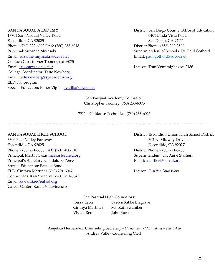17701 San Pasqual Valley Road 6401 Linda Vista Road Escondido, CA 92025 San Diego, CA 92111 Phone: (760) 233-6003 FAX: (760) 233-6018 District Phone: (858) 292-3500 Principal: Suzanne Miyasaki Superintendent of Schools: Dr. Paul Gothold Email: [suzanne.miyasaki@sdcoe.net](mailto:suzanne.miyasaki@sdcoe.net) Email: paul.gothold@sdcoe.net Contact: Christopher Toomey ext. 6075 Email: [ctoomey@sdcoe.net](mailto:ctoomey@sdcoe.net) Liaison: Tom Ventimiglia ext. 2186 College Coordinator: Taffe Newberg Email: [taffe.newberg@spacademy.org](mailto:taffe.newberg@spacademy.org) ELD: No program Special Education: Elmer Vigilia [evigilia@sdcoe.net](mailto:evigilia@sdcoe.net)

**SAN PASQUAL ACADEMY** District: San Diego County Office of Education

San Pasqual Academy Counselor: Christopher Toomey (760) 233-6075

*TBA* – Guidance Technician (760) 233-6025

~~~~~~~~~~~~~~~~~~~~~~~~~~~~~~~~~~~~~~~~~~~~~~~~~~~~~~~~~~~~~~~~~~~~~~~~~~~~~~~~~~~~~~~~~~~~~~~~~~~~~~~

3300 Bear Valley Parkway 302 N. Midway Drive Escondido, CA 92025 Escondido, CA 92027 Phone: (760) 291-6000 FAX: (760) 480-3103 District Phone: (760) 291-3200 Principal: Martin Casas **[mcasas@euhsd.org](mailto:mcasas@euhsd.org)** Superintendent: Dr. Anne Staffieri Principal's Secretary: Guadalupe Perez Email: [astaffieri@euhsd.org](mailto:sboyle@euhsd.org) Special Education: Pamela Bond ELD: Cinthya Martinez (760) 291-6047 Liaison: *District Counselors* Contact: Ms. Kafi Swaniker (760) 291-6045 Email: [kswaniker@euhsd.org](mailto:kswaniker@euhsd.org) Career Center: [Karen Villavicencio](http://www.sphsgoldeneagles.org/apps/pages/index.jsp?uREC_ID=662224&type=u)

**SAN PASQUAL HIGH SCHOOL** District: Escondido Union High School District

San Pasqual High Counselors: Tessa Leon Evelyn Kibbe Blagrave Cinthya Martinez Ms. Kafi Swaniker Vivian Ren John Burson

Angelica Hernandez: Counseling Secretary - *Do not contact for updates – email okay* Andrea Valle - Counseling Clerk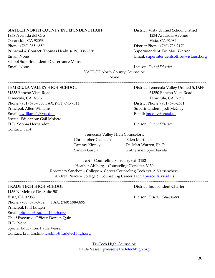# **SIATECH NORTH COUNTY INDEPENDENT HIGH** District: Vista Unified School District

1938 Avenida del Oro 1234 Aracadia Avenue Oceanside, CA 92056 Vista, CA 92084 Phone: (760) 385-6850 District Phone: (760) 726-2170 Prinicpal & Contact: Thomas Healy (619) 208-7338 Superintendent: Dr. Matt Warren Email: None Email: [superintendentsoffice@vistausd.org](mailto:superintendentsoffice@vistausd.org)  School Superintendent: Dr. Terrance Mims Email: None Liaison: *Out of District*

SIATECH North County Counselor:

None

~~~~~~~~~~~~~~~~~~~~~~~~~~~~~~~~~~~~~~~~~~~~~~~~~~~~~~~~~~~~~~~~~~~~~~~~~~~~~~~~~~~~~~~~~~~~~~~~~~~~~~~

# **TEMECULA VALLEY HIGH SCHOOL** District: Temecula Valley Unified S. D.FF

31555 Rancho Vista Road 31350 Rancho Vista Road Temecula, CA 92592 Temecula, CA 92592 Phone: (951) 695-7300 FAX: (951) 695-7311 District Phone: (951) 676-2661 Principal: Allen Williams Superintendent: Jodi McClay Email: <u>awilliams1@tvusd.us</u> et al. and the set of the set of the set of the set of the set of the set of the set of the set of the set of the set of the set of the set of the set of the set of the set of the set of the se Special Education: Gail Molstre ELD: Sophia Hernandez Liaison: *Out of District* Contact: *TBA*

Temecula Valley High Counselors:

Christopher Gadsden Ellen Martinez

Tammy Kinney Dr. Matt Warren, Ph.D. Sandra Garcia **Katherine Lopez Favela** 

*TBA* – Counseling Secretary ext. 2152 Heather Ahlberg – Counseling Clerk ext. 3130 Rosemary Sanchez – College & Career Counseling Tech ext. 2150 rsanchez1 Andrea Pierce – College & Counseling Career Tech [apierce1@tvusd.us](mailto:apierce1@tvusd.us)

~~~~~~~~~~~~~~~~~~~~~~~~~~~~~~~~~~~~~~~~~~~~~~~~~~~~~~~~~~~~~~~~~~~~~~~~~~~~~~~~~~~~~~~~~~~~~~~~~~~~~~~~

# **TRADE TECH HIGH SCHOOL** District: Independent Charter

1136 N. Melrose Dr., Suite 501 Vista, CA 92083 Liaison: *District Counselors* Phone: (760) 598-0782 FAX: (760) 598-0895 Principal: Phil Lutgen Email: [plutgen@tradetechhigh.org](mailto:plutgen@tradetechhigh.org) Chief Executive Officer: Doreen Quin ELD: None Special Education: Paula Vessell Contact: Livi Castillo [lcastillo@tradetechhigh.org](mailto:lcastillo@tradetechhigh.org)

> Tri-Tech High Counselor: Paula Vessel[l pvessell@tradetechhigh.org](mailto:pvessell@tradetechhigh.org)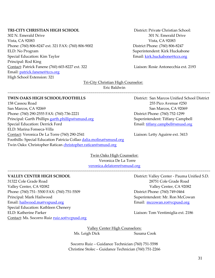# **TRI-CITY CHRISTIAN HIGH SCHOOL** District: Private Christian School:

302 N. Emerald Drive 301 N. Emerald Drive Vista, CA 92083 Vista, CA 92083 Phone: (760) 806-8247 ext. 321 FAX: (760) 806-9002 District Phone: (760) 806-8247 ELD: No Program Superintendent: Kirk Huckabone Special Education: Kim Taylor **Email:** Email: **[kirk.huckabone@tccs.org](mailto:kirk.huckabone@tccs.org)** Email: **kirk.huckabone@tccs.org** Principal: Rod King Contact: Patrick Fanene (760) 603-8227 ext. 322 Liaison: Rosie Antonecchia ext. 2193 Email: [patrick.fanene@tccs.org](mailto:patrick.fanene@tccs.org) High School Extension: 321

# Tri-City Christian High Counselor:

Eric Baldwin

~~~~~~~~~~~~~~~~~~~~~~~~~~~~~~~~~~~~~~~~~~~~~~~~~~~~~~~~~~~~~~~~~~~~~~~~~~~~~~~~~~~~~~~~~~~~~~~~~~~~~~~~~

# **TWIN OAKS HIGH SCHOOL/FOOTHILLS** District: San Marcos Unified School District

158 Cassou Road 255 Pico Avenue #250 San Marcos, CA 92069 San Marcos, CA 92069 Phone: (760) 290-2555 FAX: (760) 736-2221 District Phone: (760) 752-1299 Principal: Garth Phillips [garth.phillips@smusd.org](mailto:garth.phillips@smusd.org) Superintendent: Tiffany Campbell Special Education: Derrick Ford Email: [tiffany.campbell@smusd.org](mailto:tiffany.campbell@smusd.org) ELD: Marina Fonseca-Villa Contact: Veronica De La Torre (760) 290-2541 Liaison: Letty Aguirre ext. 3413 Foothills: Special Education Patricia Collao [dalia.molina@smusd.org](mailto:dalia.molina@smusd.org) Twin Oaks: Christopher Ratican [christopher.ratican@smusd.org](mailto:christopher.ratican@smusd.org)

Twin Oaks High Counselor: Veronica De La Torre [veronica.delatorre@smusd.org](mailto:veronica.delatorre@smusd.org)

~~~~~~~~~~~~~~~~~~~~~~~~~~~~~~~~~~~~~~~~~~~~~~~~~~~~~~~~~~~~~~~~~~~~~~~~~~~~~~~~~~~~~~~~~~~~~~~~~~~~~~~~~

31322 Cole Grade Road 28751 Cole Grade Road Valley Center, CA 92082 Valley Center, CA 92082 Phone: (760) 751- 5500 FAX: (760) 751-5509 District Phone: (760) 749-0464 Principal: Mark Hailwood Superintendent: Mr. Ron McCowan Email: [hailwood.ma@vspusd.org](mailto:hailwood.ma@vspusd.org) Email: [mccowan.ro@vcpusd.org](mailto:gorsuch.ma@vcpusd.org) Email: mccowan.ro@vcpusd.org Special Education: Kathleen Chenery ELD: Katherine Parker Liaison: Tom Ventimiglia ext. 2186 Contact: Ms. Socorro Ruiz [ruiz.so@vcpusd.org](mailto:ruiz.so@vcpusd.org)

**VALLEY CENTER HIGH SCHOOL** District: Valley Center - Pauma Unified S.D.

Valley Center High Counselors: Ms. Leigh Dick Susana Cook

Socorro Ruiz – Guidance Technician (760) 751-5598 Christine Stolec – Guidance Technician (760) 751-2266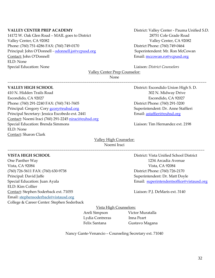14172 W. Oak Glen Road – MAIL goes to District 28751 Cole Grade Road Valley Center, CA 92082 Valley Center, CA 92082 Phone: (760) 751-4286 FAX: (760) 749-0170 District Phone: (760) 749-0464 Principal: John O'Donnell - [odonnell.jo@vcpusd.org](mailto:odonnell.jo@vcpusd.org) Superintendent: Mr. Ron McCowan Contact: John O'Donnell Email: [mccowan.ro@vcpusd.org](mailto:gorsuch.ma@vcpusd.org) ELD: None Special Education: None **Lightnician:** Liaison: *District Counselors* 

# **VALLEY CENTER PREP ACADEMY** District: Valley Center - Pauma Unified S.D.

Valley Center Prep Counselor:

None

~~~~~~~~~~~~~~~~~~~~~~~~~~~~~~~~~~~~~~~~~~~~~~~~~~~~~~~~~~~~~~~~~~~~~~~~~~~~~~~~~~~~~~~~~~~~~~~~~~~~~~~

410 N. Hidden Trails Road 302 N. Midway Drive Escondido, CA 92027 Escondido, CA 92027 Phone: (760) 291-2240 FAX: (760) 741-7605 District Phone: (760) 291-3200 Principal: Gregory Cory **[gcory@euhsd.org](mailto:gcory@euhsd.org)** Superintendent: Dr. Anne Staffieri Principal Secretary: Jessica Escobedo ext. 2441 **Email:** [astaffieri@euhsd.org](mailto:sboyle@euhsd.org) Contact: Noemi Iraci (760) 291-2245 [niraci@euhsd.org](mailto:niraci@euhsd.org) Special Education: Brenda Simmons Liaison: Tim Hernandez ext. 2198 ELD: None Contact: Sharon Clark

**VALLEY HIGH SCHOOL** District: Escondido Union High S. D.

# Valley High Counselor: Noemi Iraci

One Panther Way 1234 Arcadia Avenue Vista, CA 92084 Vista, CA 92084 (760) 726-5611 FAX: (760) 630-9738 District Phone: (760) 726-2170 Principal: David Jaffe Superintendent: Dr. Matt Doyle ELD: Kim Collier Contact: Stephen Soderback ext. 71055 Liaison: P.J. DeMaris ext. 3140 Email: stephensoderbac[k@vistausd.org](mailto:christinehayes@vistausd.org) College & Career Center: Stephen Soderback

**VISTA HIGH SCHOOL** District: Vista Unified School District Special Education: Juan Ayala **Email:** Special Education: Juan Ayala

~~~~~~~~~~~~~~~~~~~~~~~~~~~~~~~~~~~~~~~~~~~~~~~~~~~~~~~~~~~~~~~~~~~~~~~~~~~~~~~~~~~~~~~~~~~~~~~~~~~~~~

Vista High Counselors:

Lydia Contreras Inna Peart

 Areli Simpson Victor Muratalla Felix Santana Gustavo Magana

Nancy Gante-Venancio – Counseling Secretary ext. 71040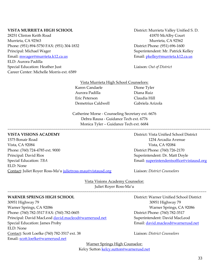28251 Clinton Keith Road 41870 McAlby Court Murrieta, CA 92563 Murrieta, CA 92562 Phone: (951) 894-5750 FAX: (951) 304-1832 District Phone: (951) 696-1600 Principal: Michael Wager Superintendent: Mr. Patrick Kelley Email: [mwager@murrieta.k12.ca.us](mailto:mwager@murrieta.k12.ca.us) Email: [pkelley@murrieta.k12.ca.us](mailto:pkelley@murrieta.k12.ca.us) ELD: Aurora Padilla Special Education: Heather Just Liaison: *Out of District* Career Center: Michelle Morris ext. 6589

**VISTA MURRIETA HIGH SCHOOL** District: Murrieta Valley Unified S. D.

# Vista Murrieta High School Counselors: Karen Candaele Dione Tyler Aurora Padilla Diana Ruiz Eric Peterson Claudia Hill Demetrius Caldwell Gabriela Arizola

Catherine Morse - Counseling Secretary ext. 6676 Debra Rausa - Guidance Tech ext. 6776 Monica Tyler – Guidance Tech ext. 6684

~~~~~~~~~~~~~~~~~~~~~~~~~~~~~~~~~~~~~~~~~~~~~~~~~~~~~~~~~~~~~~~~~~~~~~~~~~~~~~~~~~~~~~~~~~~~~~~~~~~~~~~~~

# **VISTA VISIONS ACADEMY** District: Vista Unified School District

1575 Bonair Road 1234 Arcadia Avenue Vista, CA 92084 Vista, CA 92084 Phone: (760) 724-4785 ext. 9000 District Phone: (760) 726-2170 Principal: David Rios Superintendent: Dr. Matt Doyle Special Education: *TBA* Email: **superintendentsoffice@vistausd.org** Email: **superintendentsoffice@vistausd.org** ELD: None Contact: Juliet Royer Ross-Ma'u [julietross-mau@vistausd.org](mailto:julietross-mau@vistausd.org) Liaison: *District Counselors*

Vista Visions Academy Counselor: Juliet Royer Ross-Ma'u

~~~~~~~~~~~~~~~~~~~~~~~~~~~~~~~~~~~~~~~~~~~~~~~~~~~~~~~~~~~~~~~~~~~~~~~~~~~~~~~~~~~~~~~~~~~~~~~~~~~~~~~

30951 Highway 79 30951 Highway 79 Warner Springs, CA 92086 Warner Springs, CA 92086 Phone: (760) 782-3517 FAX: (760) 782-0605 District Phone: (760) 782-3517 Principal: David MacLeod [david.macleod@warnerusd.net](mailto:david.macleod@warnerusd.net) Superintendent: David MacLeod Special Education: James Proby **Email:** [david.macleod@warnerusd.net](mailto:david.macleod@warnerusd.net) ELD: None Contact: Scott Loefke (760) 782-3517 ext. 38 Liaison: *District Counselors* Email: [scott.loefke@warnerusd.net](mailto:scott.loefke@warnerusd.net)

**WARNER SPRINGS HIGH SCHOOL** District: Warner Unified School District

Warner Springs High Counselor: Kelcy Sutton [kelcy.sutton@warnerusd.net](mailto:kelcy.sutton@warnerusd.net)